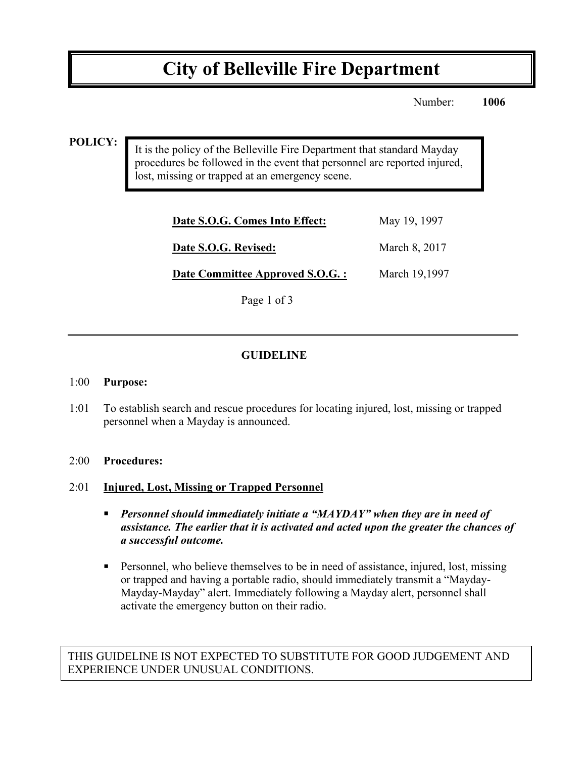# **City of Belleville Fire Department**

Number: **1006**

#### **POLICY:**

It is the policy of the Belleville Fire Department that standard Mayday procedures be followed in the event that personnel are reported injured, lost, missing or trapped at an emergency scene.

| Date S.O.G. Comes Into Effect:  | May 19, 1997  |
|---------------------------------|---------------|
| Date S.O.G. Revised:            | March 8, 2017 |
| Date Committee Approved S.O.G.: | March 19,1997 |

Page 1 of 3

### **GUIDELINE**

#### 1:00 **Purpose:**

1:01 To establish search and rescue procedures for locating injured, lost, missing or trapped personnel when a Mayday is announced.

#### 2:00 **Procedures:**

#### 2:01 **Injured, Lost, Missing or Trapped Personnel**

- ! *Personnel should immediately initiate a "MAYDAY" when they are in need of assistance. The earlier that it is activated and acted upon the greater the chances of a successful outcome.*
- ! Personnel, who believe themselves to be in need of assistance, injured, lost, missing or trapped and having a portable radio, should immediately transmit a "Mayday-Mayday-Mayday" alert. Immediately following a Mayday alert, personnel shall activate the emergency button on their radio.

THIS GUIDELINE IS NOT EXPECTED TO SUBSTITUTE FOR GOOD JUDGEMENT AND EXPERIENCE UNDER UNUSUAL CONDITIONS.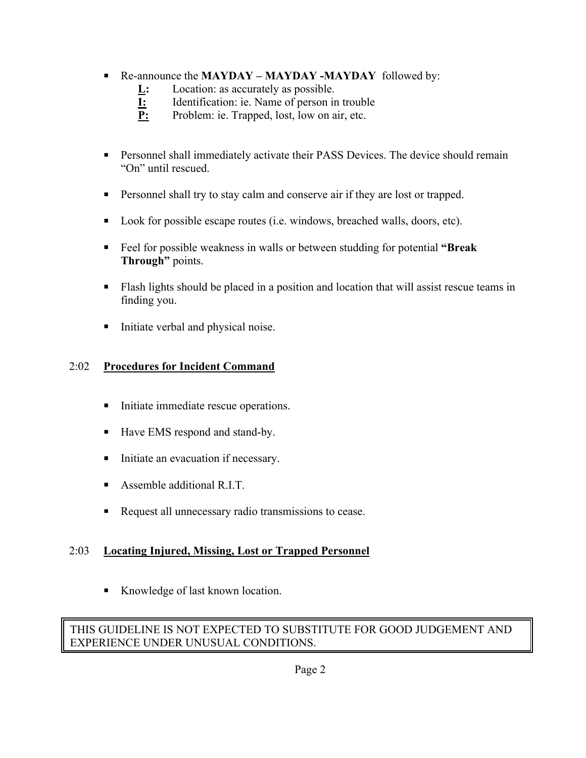## ! Re-announce the **MAYDAY – MAYDAY -MAYDAY** followed by:

- **L:** Location: as accurately as possible.
- **I:** Identification: ie. Name of person in trouble
- **P:** Problem: ie. Trapped, lost, low on air, etc.
- ! Personnel shall immediately activate their PASS Devices. The device should remain "On" until rescued.
- ! Personnel shall try to stay calm and conserve air if they are lost or trapped.
- ! Look for possible escape routes (i.e. windows, breached walls, doors, etc).
- ! Feel for possible weakness in walls or between studding for potential **"Break Through"** points.
- ! Flash lights should be placed in a position and location that will assist rescue teams in finding you.
- ! Initiate verbal and physical noise.

# 2:02 **Procedures for Incident Command**

- ! Initiate immediate rescue operations.
- Have EMS respond and stand-by.
- ! Initiate an evacuation if necessary.
- Assemble additional R.I.T.
- ! Request all unnecessary radio transmissions to cease.

# 2:03 **Locating Injured, Missing, Lost or Trapped Personnel**

■ Knowledge of last known location.

### THIS GUIDELINE IS NOT EXPECTED TO SUBSTITUTE FOR GOOD JUDGEMENT AND EXPERIENCE UNDER UNUSUAL CONDITIONS.